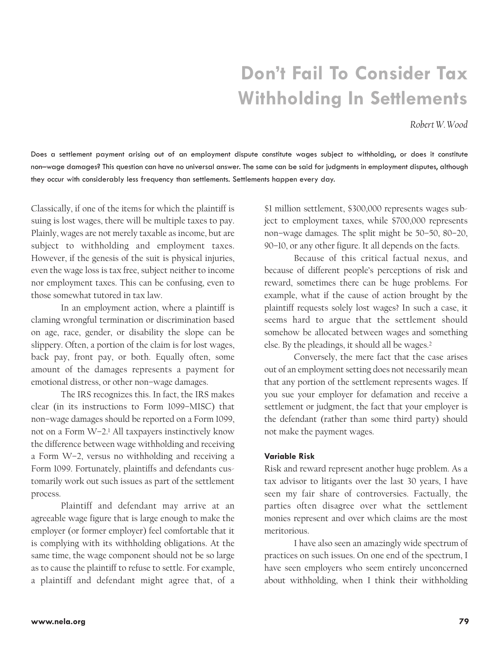# **Don't Fail To Consider Tax Withholding In Settlements**

*Robert W. Wood* 

Does a settlement payment arising out of an employment dispute constitute wages subject to withholding, or does it constitute non–wage damages? This question can have no universal answer. The same can be said for judgments in employment disputes, although they occur with considerably less frequency than settlements. Settlements happen every day.

Classically, if one of the items for which the plaintiff is suing is lost wages, there will be multiple taxes to pay. Plainly, wages are not merely taxable as income, but are subject to withholding and employment taxes. However, if the genesis of the suit is physical injuries, even the wage loss is tax free, subject neither to income nor employment taxes. This can be confusing, even to those somewhat tutored in tax law.

In an employment action, where a plaintiff is claming wrongful termination or discrimination based on age, race, gender, or disability the slope can be slippery. Often, a portion of the claim is for lost wages, back pay, front pay, or both. Equally often, some amount of the damages represents a payment for emotional distress, or other non–wage damages.

The IRS recognizes this. In fact, the IRS makes clear (in its instructions to Form 1099–MISC) that non–wage damages should be reported on a Form 1099, not on a Form W–2.1 All taxpayers instinctively know the difference between wage withholding and receiving a Form W–2, versus no withholding and receiving a Form 1099. Fortunately, plaintiffs and defendants customarily work out such issues as part of the settlement process.

Plaintiff and defendant may arrive at an agreeable wage figure that is large enough to make the employer (or former employer) feel comfortable that it is complying with its withholding obligations. At the same time, the wage component should not be so large as to cause the plaintiff to refuse to settle. For example, a plaintiff and defendant might agree that, of a

\$1 million settlement, \$300,000 represents wages subject to employment taxes, while \$700,000 represents non–wage damages. The split might be 50–50, 80–20, 90–10, or any other figure. It all depends on the facts.

Because of this critical factual nexus, and because of different people's perceptions of risk and reward, sometimes there can be huge problems. For example, what if the cause of action brought by the plaintiff requests solely lost wages? In such a case, it seems hard to argue that the settlement should somehow be allocated between wages and something else. By the pleadings, it should all be wages.2

Conversely, the mere fact that the case arises out of an employment setting does not necessarily mean that any portion of the settlement represents wages. If you sue your employer for defamation and receive a settlement or judgment, the fact that your employer is the defendant (rather than some third party) should not make the payment wages.

#### **Variable Risk**

Risk and reward represent another huge problem. As a tax advisor to litigants over the last 30 years, I have seen my fair share of controversies. Factually, the parties often disagree over what the settlement monies represent and over which claims are the most meritorious.

I have also seen an amazingly wide spectrum of practices on such issues. On one end of the spectrum, I have seen employers who seem entirely unconcerned about withholding, when I think their withholding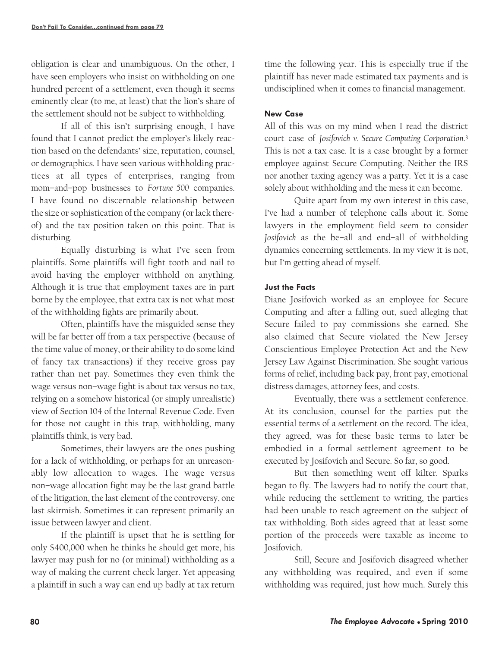obligation is clear and unambiguous. On the other, I have seen employers who insist on withholding on one hundred percent of a settlement, even though it seems eminently clear (to me, at least) that the lion's share of the settlement should not be subject to withholding.

If all of this isn't surprising enough, I have found that I cannot predict the employer's likely reaction based on the defendants' size, reputation, counsel, or demographics. I have seen various withholding practices at all types of enterprises, ranging from mom–and–pop businesses to *Fortune 500* companies. I have found no discernable relationship between the size or sophistication of the company (or lack thereof) and the tax position taken on this point. That is disturbing.

Equally disturbing is what I've seen from plaintiffs. Some plaintiffs will fight tooth and nail to avoid having the employer withhold on anything. Although it is true that employment taxes are in part borne by the employee, that extra tax is not what most of the withholding fights are primarily about.

Often, plaintiffs have the misguided sense they will be far better off from a tax perspective (because of the time value of money, or their ability to do some kind of fancy tax transactions) if they receive gross pay rather than net pay. Sometimes they even think the wage versus non–wage fight is about tax versus no tax, relying on a somehow historical (or simply unrealistic) view of Section 104 of the Internal Revenue Code. Even for those not caught in this trap, withholding, many plaintiffs think, is very bad.

Sometimes, their lawyers are the ones pushing for a lack of withholding, or perhaps for an unreasonably low allocation to wages. The wage versus non–wage allocation fight may be the last grand battle of the litigation, the last element of the controversy, one last skirmish. Sometimes it can represent primarily an issue between lawyer and client.

If the plaintiff is upset that he is settling for only \$400,000 when he thinks he should get more, his lawyer may push for no (or minimal) withholding as a way of making the current check larger. Yet appeasing a plaintiff in such a way can end up badly at tax return time the following year. This is especially true if the plaintiff has never made estimated tax payments and is undisciplined when it comes to financial management.

## **New Case**

All of this was on my mind when I read the district court case of *Josifovich v. Secure Computing Corporation*.3 This is not a tax case. It is a case brought by a former employee against Secure Computing. Neither the IRS nor another taxing agency was a party. Yet it is a case solely about withholding and the mess it can become.

Quite apart from my own interest in this case, I've had a number of telephone calls about it. Some lawyers in the employment field seem to consider *Josifovich* as the be–all and end–all of withholding dynamics concerning settlements. In my view it is not, but I'm getting ahead of myself.

## **Just the Facts**

Diane Josifovich worked as an employee for Secure Computing and after a falling out, sued alleging that Secure failed to pay commissions she earned. She also claimed that Secure violated the New Jersey Conscientious Employee Protection Act and the New Jersey Law Against Discrimination. She sought various forms of relief, including back pay, front pay, emotional distress damages, attorney fees, and costs.

Eventually, there was a settlement conference. At its conclusion, counsel for the parties put the essential terms of a settlement on the record. The idea, they agreed, was for these basic terms to later be embodied in a formal settlement agreement to be executed by Josifovich and Secure. So far, so good.

But then something went off kilter. Sparks began to fly. The lawyers had to notify the court that, while reducing the settlement to writing, the parties had been unable to reach agreement on the subject of tax withholding. Both sides agreed that at least some portion of the proceeds were taxable as income to Josifovich.

Still, Secure and Josifovich disagreed whether any withholding was required, and even if some withholding was required, just how much. Surely this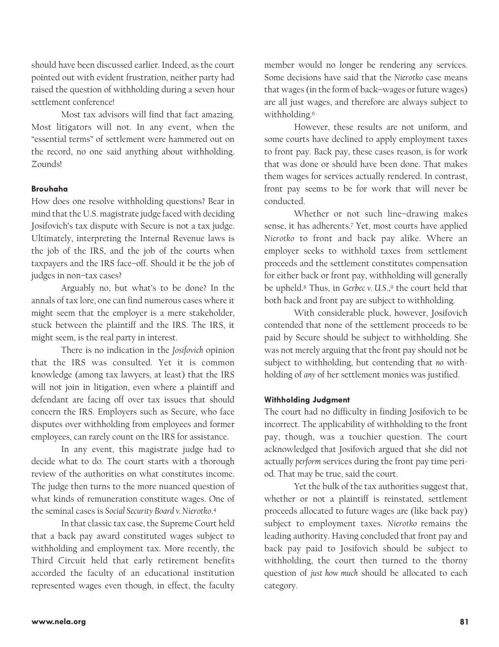should have been discussed earlier. Indeed, as the court pointed out with evident frustration, neither party had raised the question of withholding during a seven hour settlement conference!

Most tax advisors will find that fact amazing. Most litigators will not. In any event, when the "essential terms" of settlement were hammered out on the record, no one said anything about withholding. Zounds!

#### **Brouhaha**

How does one resolve withholding questions? Bear in mind that the U.S. magistrate judge faced with deciding Josifovich's tax dispute with Secure is not a tax judge. Ultimately, interpreting the Internal Revenue laws is the job of the IRS, and the job of the courts when taxpayers and the IRS face–off. Should it be the job of judges in non–tax cases?

Arguably no, but what's to be done? In the annals of tax lore, one can find numerous cases where it might seem that the employer is a mere stakeholder, stuck between the plaintiff and the IRS. The IRS, it might seem, is the real party in interest.

There is no indication in the *Josifovich* opinion that the IRS was consulted. Yet it is common knowledge (among tax lawyers, at least) that the IRS will not join in litigation, even where a plaintiff and defendant are facing off over tax issues that should concern the IRS. Employers such as Secure, who face disputes over withholding from employees and former employees, can rarely count on the IRS for assistance.

In any event, this magistrate judge had to decide what to do. The court starts with a thorough review of the authorities on what constitutes income. The judge then turns to the more nuanced question of what kinds of remuneration constitute wages. One of the seminal cases is *Social Security Board v. Nierotko*.4

In that classic tax case, the Supreme Court held that a back pay award constituted wages subject to withholding and employment tax. More recently, the Third Circuit held that early retirement benefits accorded the faculty of an educational institution represented wages even though, in effect, the faculty member would no longer be rendering any services. Some decisions have said that the *Nierotko* case means that wages (in the form of back–wages or future wages) are all just wages, and therefore are always subject to withholding.<sup>6</sup>

However, these results are not uniform, and some courts have declined to apply employment taxes to front pay. Back pay, these cases reason, is for work that was done or should have been done. That makes them wages for services actually rendered. In contrast, front pay seems to be for work that will never be conducted.

Whether or not such line–drawing makes sense, it has adherents.7 Yet, most courts have applied *Nierotko* to front and back pay alike. Where an employer seeks to withhold taxes from settlement proceeds and the settlement constitutes compensation for either back or front pay, withholding will generally be upheld.<sup>8</sup> Thus, in *Gerbec v. U.S.*,<sup>9</sup> the court held that both back and front pay are subject to withholding.

With considerable pluck, however, Josifovich contended that none of the settlement proceeds to be paid by Secure should be subject to withholding. She was not merely arguing that the front pay should not be subject to withholding, but contending that *no* withholding of *any* of her settlement monies was justified.

#### **Withholding Judgment**

The court had no difficulty in finding Josifovich to be incorrect. The applicability of withholding to the front pay, though, was a touchier question. The court acknowledged that Josifovich argued that she did not actually *perform* services during the front pay time period. That may be true, said the court.

Yet the bulk of the tax authorities suggest that, whether or not a plaintiff is reinstated, settlement proceeds allocated to future wages are (like back pay) subject to employment taxes. *Nierotko* remains the leading authority. Having concluded that front pay and back pay paid to Josifovich should be subject to withholding, the court then turned to the thorny question of *just how much* should be allocated to each category.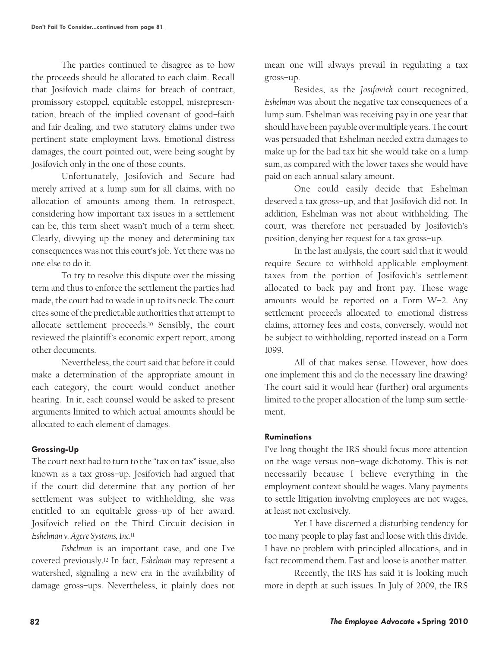The parties continued to disagree as to how the proceeds should be allocated to each claim. Recall that Josifovich made claims for breach of contract, promissory estoppel, equitable estoppel, misrepresentation, breach of the implied covenant of good–faith and fair dealing, and two statutory claims under two pertinent state employment laws. Emotional distress damages, the court pointed out, were being sought by Josifovich only in the one of those counts.

Unfortunately, Josifovich and Secure had merely arrived at a lump sum for all claims, with no allocation of amounts among them. In retrospect, considering how important tax issues in a settlement can be, this term sheet wasn't much of a term sheet. Clearly, divvying up the money and determining tax consequences was not this court's job. Yet there was no one else to do it.

To try to resolve this dispute over the missing term and thus to enforce the settlement the parties had made, the court had to wade in up to its neck. The court cites some of the predictable authorities that attempt to allocate settlement proceeds.10 Sensibly, the court reviewed the plaintiff's economic expert report, among other documents.

Nevertheless, the court said that before it could make a determination of the appropriate amount in each category, the court would conduct another hearing. In it, each counsel would be asked to present arguments limited to which actual amounts should be allocated to each element of damages.

# **Grossing-Up**

The court next had to turn to the "tax on tax" issue, also known as a tax gross–up. Josifovich had argued that if the court did determine that any portion of her settlement was subject to withholding, she was entitled to an equitable gross–up of her award. Josifovich relied on the Third Circuit decision in *Eshelman v. Agere Systems, Inc.*<sup>11</sup>

*Eshelman* is an important case, and one I've covered previously.12 In fact, *Eshelman* may represent a watershed, signaling a new era in the availability of damage gross–ups. Nevertheless, it plainly does not mean one will always prevail in regulating a tax gross–up.

Besides, as the *Josifovich* court recognized, *Eshelman* was about the negative tax consequences of a lump sum. Eshelman was receiving pay in one year that should have been payable over multiple years. The court was persuaded that Eshelman needed extra damages to make up for the bad tax hit she would take on a lump sum, as compared with the lower taxes she would have paid on each annual salary amount.

One could easily decide that Eshelman deserved a tax gross–up, and that Josifovich did not. In addition, Eshelman was not about withholding. The court, was therefore not persuaded by Josifovich's position, denying her request for a tax gross–up.

In the last analysis, the court said that it would require Secure to withhold applicable employment taxes from the portion of Josifovich's settlement allocated to back pay and front pay. Those wage amounts would be reported on a Form W–2. Any settlement proceeds allocated to emotional distress claims, attorney fees and costs, conversely, would not be subject to withholding, reported instead on a Form 1099.

All of that makes sense. However, how does one implement this and do the necessary line drawing? The court said it would hear (further) oral arguments limited to the proper allocation of the lump sum settlement.

## **Ruminations**

I've long thought the IRS should focus more attention on the wage versus non–wage dichotomy. This is not necessarily because I believe everything in the employment context should be wages. Many payments to settle litigation involving employees are not wages, at least not exclusively.

Yet I have discerned a disturbing tendency for too many people to play fast and loose with this divide. I have no problem with principled allocations, and in fact recommend them. Fast and loose is another matter.

Recently, the IRS has said it is looking much more in depth at such issues. In July of 2009, the IRS